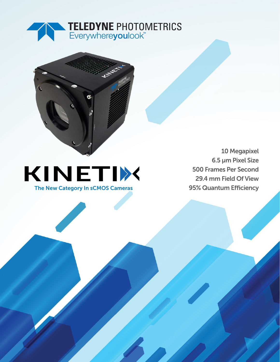



## KINETIX The New Category In sCMOS Cameras

10 Megapixel 6.5 µm Pixel Size 500 Frames Per Second 29.4 mm Field Of View 95% Quantum Efficiency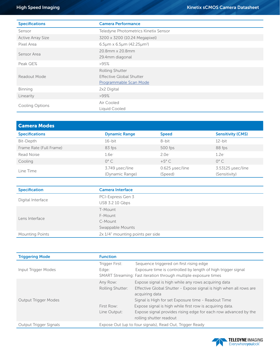| <b>Specifications</b>    | <b>Camera Performance</b>                                             |  |  |  |
|--------------------------|-----------------------------------------------------------------------|--|--|--|
| Sensor                   | Teledyne Photometrics Kinetix Sensor                                  |  |  |  |
| <b>Active Array Size</b> | 3200 x 3200 (10.24 Megapixel)                                         |  |  |  |
| Pixel Area               | 6.5µm x 6.5µm (42.25µm <sup>2</sup> )                                 |  |  |  |
| Sensor Area              | 20.8mm x 20.8mm<br>29.4mm diagonal                                    |  |  |  |
| Peak QE%                 | >95%                                                                  |  |  |  |
| Readout Mode             | Rolling Shutter<br>Effective Global Shutter<br>Programmable Scan Mode |  |  |  |
| <b>Binning</b>           | 2x2 Digital                                                           |  |  |  |
| Linearity                | $>99\%$                                                               |  |  |  |
| Cooling Options          | Air Cooled<br>Liquid Cooled                                           |  |  |  |

| <b>Camera Modes</b>     |                                    |                            |                                    |
|-------------------------|------------------------------------|----------------------------|------------------------------------|
| <b>Specifications</b>   | <b>Dynamic Range</b>               | <b>Speed</b>               | <b>Sensitivity (CMS)</b>           |
| Bit-Depth               | $16$ -bit                          | 8-bit                      | $12$ -bit                          |
| Frame Rate (Full Frame) | 83 fps                             | 500 fps                    | 88 fps                             |
| Read Noise              | $1.6e-$                            | $2.0e^{-}$                 | $1.2e-$                            |
| Cooling                 | $0^{\circ}$ C                      | $+5^{\circ}$ C             | $0^{\circ}$ C                      |
| Line Time               | 3.749 µsec/line<br>(Dynamic Range) | 0.625 µsec/line<br>(Speed) | 3.53125 µsec/line<br>(Sensitivity) |

| <b>Specification</b>   | <b>Camera Interface</b>                           |
|------------------------|---------------------------------------------------|
| Digital Interface      | PCI-Express Gen 3<br>USB 3.2 10 Gbps              |
| Lens Interface         | T-Mount<br>F-Mount<br>C-Mount<br>Swappable Mounts |
| <b>Mounting Points</b> | 2x 1/4" mounting points per side                  |

| <b>Triggering Mode</b>      | <b>Function</b>                                                 |                                                                    |  |  |
|-----------------------------|-----------------------------------------------------------------|--------------------------------------------------------------------|--|--|
|                             | Trigger First:                                                  | Sequence triggered on first rising edge                            |  |  |
| Input Trigger Modes         | Edge:                                                           | Exposure time is controlled by length of high trigger signal       |  |  |
|                             | SMART Streaming: Fast iteration through multiple exposure times |                                                                    |  |  |
|                             | Any Row:                                                        | Expose signal is high while any rows acquiring data                |  |  |
|                             | Rolling Shutter:                                                | Effective Global Shutter - Expose signal is high when all rows are |  |  |
|                             |                                                                 | acquiring data                                                     |  |  |
| <b>Output Trigger Modes</b> |                                                                 | Signal is High for set Exposure time - Readout Time                |  |  |
|                             | First Row:                                                      | Expose signal is high while first row is acquiring data.           |  |  |
|                             | Line Output:                                                    | Expose signal provides rising edge for each row advanced by the    |  |  |
|                             |                                                                 | rolling shutter readout                                            |  |  |
| Output Trigger Signals      | Expose Out (up to four signals), Read Out, Trigger Ready        |                                                                    |  |  |